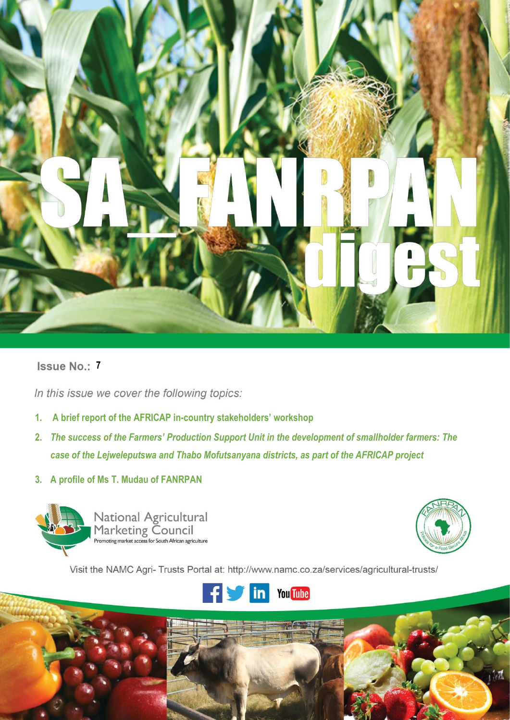

# **Issue No.: 7**

In this issue we cover the following topics:

- **1. A brief report of the AFRICAP in-country stakeholders' workshop**
- **2.** *The success of the Farmers' Production Support Unit in the development of smallholder farmers: The case of the Lejweleputswa and Thabo Mofutsanyana districts, as part of the AFRICAP project*
- **3. A profile of Ms T. Mudau of FANRPAN**



**i |** P a g e



Visit the NAMC Agri- Trusts Portal at: http://www.namc.co.za/services/agricultural-trusts/

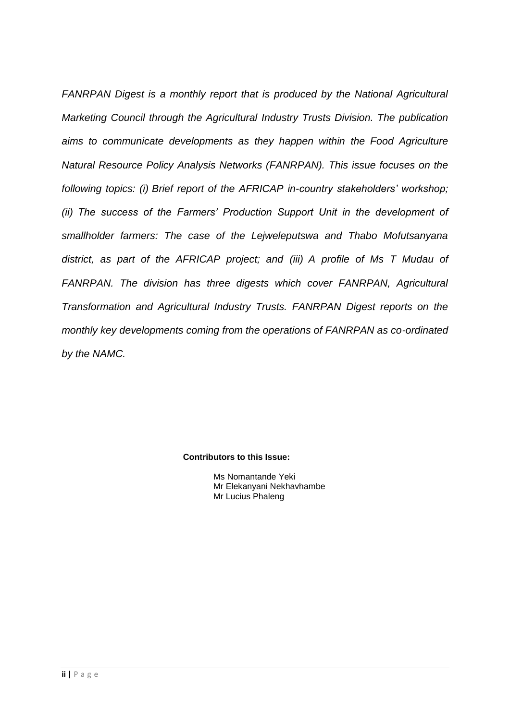*FANRPAN Digest is a monthly report that is produced by the National Agricultural Marketing Council through the Agricultural Industry Trusts Division. The publication aims to communicate developments as they happen within the Food Agriculture Natural Resource Policy Analysis Networks (FANRPAN). This issue focuses on the following topics: (i) Brief report of the AFRICAP in-country stakeholders' workshop; (ii) The success of the Farmers' Production Support Unit in the development of smallholder farmers: The case of the Lejweleputswa and Thabo Mofutsanyana district, as part of the AFRICAP project; and (iii) A profile of Ms T Mudau of FANRPAN. The division has three digests which cover FANRPAN, Agricultural Transformation and Agricultural Industry Trusts. FANRPAN Digest reports on the monthly key developments coming from the operations of FANRPAN as co-ordinated by the NAMC.*

**Contributors to this Issue:**

Ms Nomantande Yeki Mr Elekanyani Nekhavhambe Mr Lucius Phaleng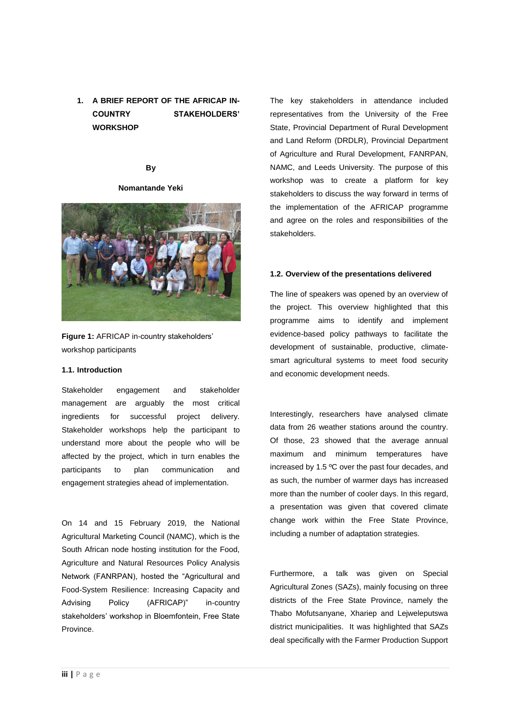# **1. A BRIEF REPORT OF THE AFRICAP IN-COUNTRY STAKEHOLDERS' WORKSHOP**

### **By**

#### **Nomantande Yeki**



**Figure 1:** AFRICAP in-country stakeholders' workshop participants

#### **1.1. Introduction**

Stakeholder engagement and stakeholder management are arguably the most critical ingredients for successful project delivery. Stakeholder workshops help the participant to understand more about the people who will be affected by the project, which in turn enables the participants to plan communication and engagement strategies ahead of implementation.

On 14 and 15 February 2019, the National Agricultural Marketing Council (NAMC), which is the South African node hosting institution for the Food, Agriculture and Natural Resources Policy Analysis Network (FANRPAN), hosted the "Agricultural and Food-System Resilience: Increasing Capacity and Advising Policy (AFRICAP)" in-country stakeholders' workshop in Bloemfontein, Free State Province.

The key stakeholders in attendance included representatives from the University of the Free State, Provincial Department of Rural Development and Land Reform (DRDLR), Provincial Department of Agriculture and Rural Development, FANRPAN, NAMC, and Leeds University. The purpose of this workshop was to create a platform for key stakeholders to discuss the way forward in terms of the implementation of the AFRICAP programme and agree on the roles and responsibilities of the stakeholders.

#### **1.2. Overview of the presentations delivered**

The line of speakers was opened by an overview of the project. This overview highlighted that this programme aims to identify and implement evidence-based policy pathways to facilitate the development of sustainable, productive, climatesmart agricultural systems to meet food security and economic development needs.

Interestingly, researchers have analysed climate data from 26 weather stations around the country. Of those, 23 showed that the average annual maximum and minimum temperatures have increased by 1.5 ºC over the past four decades, and as such, the number of warmer days has increased more than the number of cooler days. In this regard, a presentation was given that covered climate change work within the Free State Province, including a number of adaptation strategies.

Furthermore, a talk was given on Special Agricultural Zones (SAZs), mainly focusing on three districts of the Free State Province, namely the Thabo Mofutsanyane, Xhariep and Lejweleputswa district municipalities. It was highlighted that SAZs deal specifically with the Farmer Production Support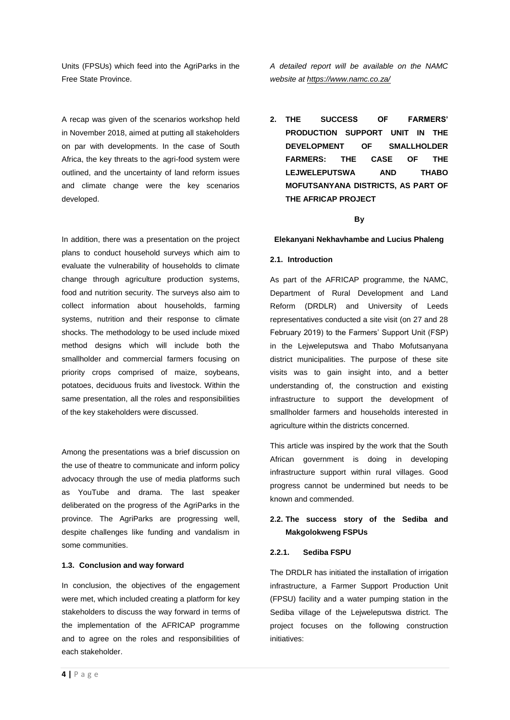Units (FPSUs) which feed into the AgriParks in the Free State Province.

A recap was given of the scenarios workshop held in November 2018, aimed at putting all stakeholders on par with developments. In the case of South Africa, the key threats to the agri-food system were outlined, and the uncertainty of land reform issues and climate change were the key scenarios developed.

In addition, there was a presentation on the project plans to conduct household surveys which aim to evaluate the vulnerability of households to climate change through agriculture production systems, food and nutrition security. The surveys also aim to collect information about households, farming systems, nutrition and their response to climate shocks. The methodology to be used include mixed method designs which will include both the smallholder and commercial farmers focusing on priority crops comprised of maize, soybeans, potatoes, deciduous fruits and livestock. Within the same presentation, all the roles and responsibilities of the key stakeholders were discussed.

Among the presentations was a brief discussion on the use of theatre to communicate and inform policy advocacy through the use of media platforms such as YouTube and drama. The last speaker deliberated on the progress of the AgriParks in the province. The AgriParks are progressing well, despite challenges like funding and vandalism in some communities.

#### **1.3. Conclusion and way forward**

In conclusion, the objectives of the engagement were met, which included creating a platform for key stakeholders to discuss the way forward in terms of the implementation of the AFRICAP programme and to agree on the roles and responsibilities of each stakeholder.

*A detailed report will be available on the NAMC website at <https://www.namc.co.za/>*

**2. THE SUCCESS OF FARMERS' PRODUCTION SUPPORT UNIT IN THE DEVELOPMENT OF SMALLHOLDER FARMERS: THE CASE OF THE LEJWELEPUTSWA AND THABO MOFUTSANYANA DISTRICTS, AS PART OF THE AFRICAP PROJECT**

## **By**

#### **Elekanyani Nekhavhambe and Lucius Phaleng**

#### **2.1. Introduction**

As part of the AFRICAP programme, the NAMC, Department of Rural Development and Land Reform (DRDLR) and University of Leeds representatives conducted a site visit (on 27 and 28 February 2019) to the Farmers' Support Unit (FSP) in the Lejweleputswa and Thabo Mofutsanyana district municipalities. The purpose of these site visits was to gain insight into, and a better understanding of, the construction and existing infrastructure to support the development of smallholder farmers and households interested in agriculture within the districts concerned.

This article was inspired by the work that the South African government is doing in developing infrastructure support within rural villages. Good progress cannot be undermined but needs to be known and commended.

## **2.2. The success story of the Sediba and Makgolokweng FSPUs**

#### **2.2.1. Sediba FSPU**

The DRDLR has initiated the installation of irrigation infrastructure, a Farmer Support Production Unit (FPSU) facility and a water pumping station in the Sediba village of the Lejweleputswa district. The project focuses on the following construction initiatives: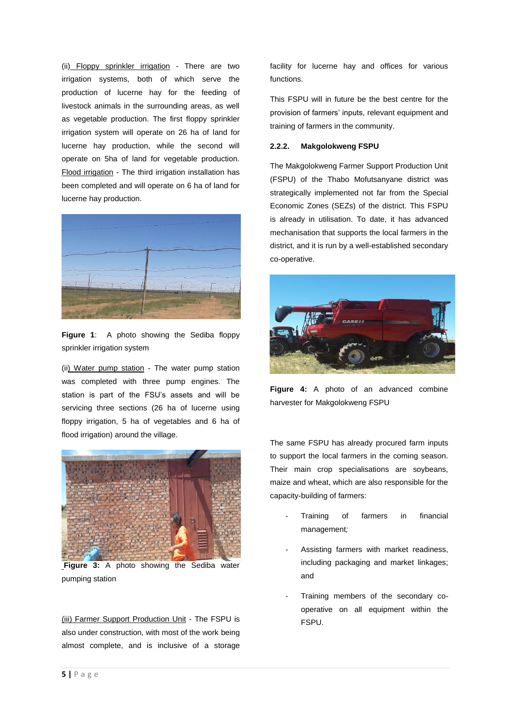(ii) Floppy sprinkler irrigation - There are two irrigation systems, both of which serve the production of lucerne hay for the feeding of livestock animals in the surrounding areas, as well as vegetable production. The first floppy sprinkler irrigation system will operate on 26 ha of land for lucerne hay production, while the second will operate on 5ha of land for vegetable production. Flood irrigation - The third irrigation installation has been completed and will operate on 6 ha of land for lucerne hay production.



**Figure 1**: A photo showing the Sediba floppy sprinkler irrigation system

(ii) Water pump station - The water pump station was completed with three pump engines. The station is part of the FSU's assets and will be servicing three sections (26 ha of lucerne using floppy irrigation, 5 ha of vegetables and 6 ha of flood irrigation) around the village.



**Figure 3:** A photo showing the Sediba water pumping station

(iii) Farmer Support Production Unit - The FSPU is also under construction, with most of the work being almost complete, and is inclusive of a storage facility for lucerne hay and offices for various functions.

This FSPU will in future be the best centre for the provision of farmers' inputs, relevant equipment and training of farmers in the community.

#### **2.2.2. Makgolokweng FSPU**

The Makgolokweng Farmer Support Production Unit (FSPU) of the Thabo Mofutsanyane district was strategically implemented not far from the Special Economic Zones (SEZs) of the district. This FSPU is already in utilisation. To date, it has advanced mechanisation that supports the local farmers in the district, and it is run by a well-established secondary co-operative.



**Figure 4:** A photo of an advanced combine harvester for Makgolokweng FSPU

The same FSPU has already procured farm inputs to support the local farmers in the coming season. Their main crop specialisations are soybeans, maize and wheat, which are also responsible for the capacity-building of farmers:

- Training of farmers in financial management*;*
- Assisting farmers with market readiness, including packaging and market linkages; and
- Training members of the secondary cooperative on all equipment within the FSPU.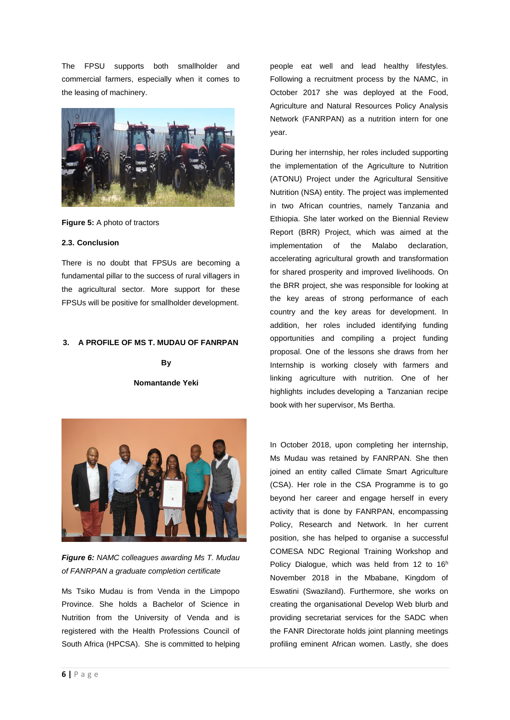The FPSU supports both smallholder and commercial farmers, especially when it comes to the leasing of machinery.



**Figure 5:** A photo of tractors

#### **2.3. Conclusion**

There is no doubt that FPSUs are becoming a fundamental pillar to the success of rural villagers in the agricultural sector. More support for these FPSUs will be positive for smallholder development.

#### **3. A PROFILE OF MS T. MUDAU OF FANRPAN**

**By** 

**Nomantande Yeki**



*Figure 6: NAMC colleagues awarding Ms T. Mudau of FANRPAN a graduate completion certificate*

Ms Tsiko Mudau is from Venda in the Limpopo Province. She holds a Bachelor of Science in Nutrition from the University of Venda and is registered with the Health Professions Council of South Africa (HPCSA). She is committed to helping

people eat well and lead healthy lifestyles. Following a recruitment process by the NAMC, in October 2017 she was deployed at the Food, Agriculture and Natural Resources Policy Analysis Network (FANRPAN) as a nutrition intern for one year.

During her internship, her roles included supporting the implementation of the Agriculture to Nutrition (ATONU) Project under the Agricultural Sensitive Nutrition (NSA) entity. The project was implemented in two African countries, namely Tanzania and Ethiopia. She later worked on the Biennial Review Report (BRR) Project, which was aimed at the implementation of the Malabo declaration, accelerating agricultural growth and transformation for shared prosperity and improved livelihoods. On the BRR project, she was responsible for looking at the key areas of strong performance of each country and the key areas for development. In addition, her roles included identifying funding opportunities and compiling a project funding proposal. One of the lessons she draws from her Internship is working closely with farmers and linking agriculture with nutrition. One of her highlights includes developing a Tanzanian recipe book with her supervisor, Ms Bertha.

In October 2018, upon completing her internship, Ms Mudau was retained by FANRPAN. She then joined an entity called Climate Smart Agriculture (CSA). Her role in the CSA Programme is to go beyond her career and engage herself in every activity that is done by FANRPAN, encompassing Policy, Research and Network. In her current position, she has helped to organise a successful COMESA NDC Regional Training Workshop and Policy Dialogue, which was held from 12 to 16<sup>h</sup> November 2018 in the Mbabane, Kingdom of Eswatini (Swaziland). Furthermore, she works on creating the organisational Develop Web blurb and providing secretariat services for the SADC when the FANR Directorate holds joint planning meetings profiling eminent African women. Lastly, she does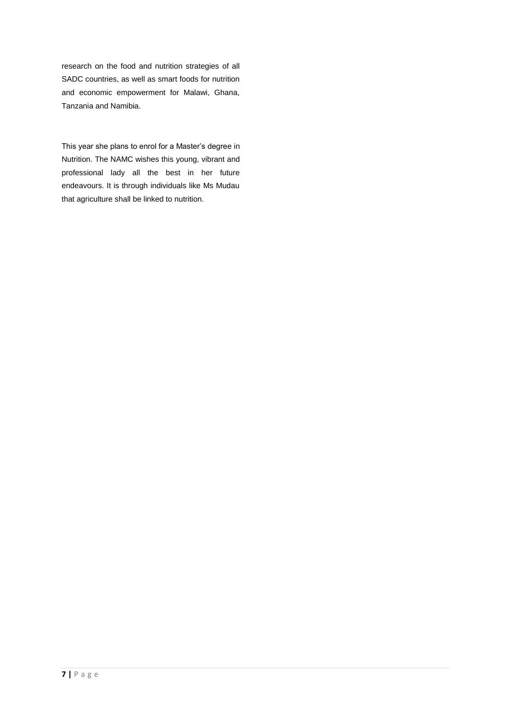research on the food and nutrition strategies of all SADC countries, as well as smart foods for nutrition and economic empowerment for Malawi, Ghana, Tanzania and Namibia.

This year she plans to enrol for a Master's degree in Nutrition. The NAMC wishes this young, vibrant and professional lady all the best in her future endeavours. It is through individuals like Ms Mudau that agriculture shall be linked to nutrition.